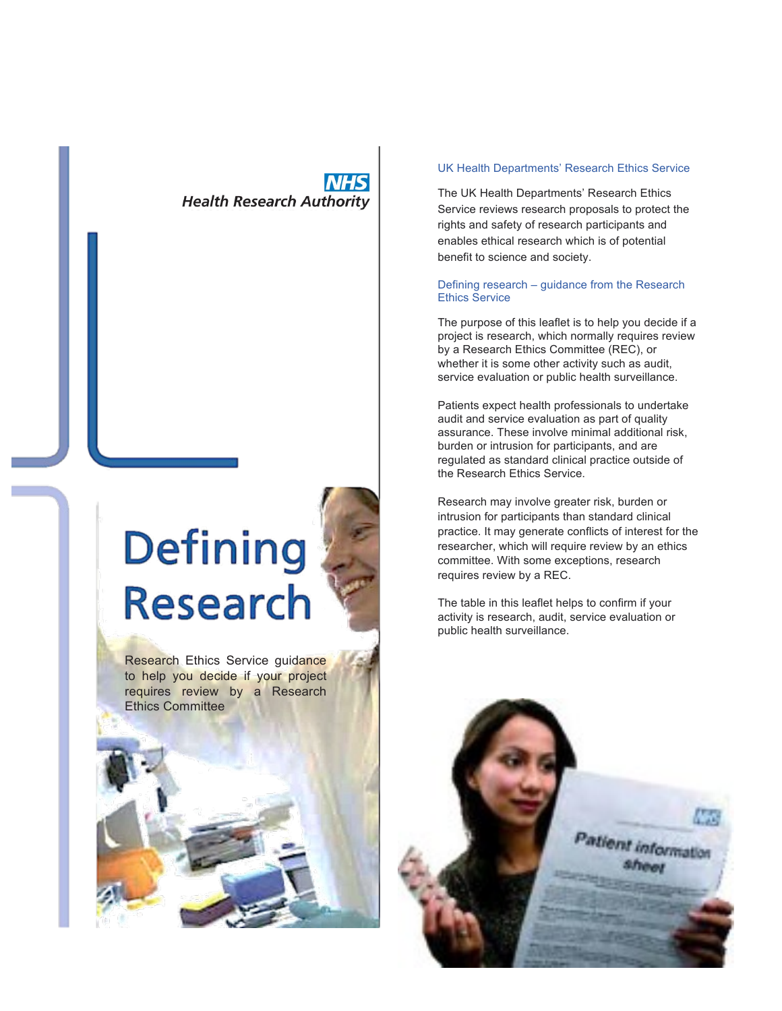# **Health Research Authority**





Research Ethics Service guidance to help you decide if your project requires review by a Research Ethics Committee

# UK Health Departments' Research Ethics Service

The UK Health Departments' Research Ethics Service reviews research proposals to protect the rights and safety of research participants and enables ethical research which is of potential benefit to science and society.

# Defining research – guidance from the Research Ethics Service

The purpose of this leaflet is to help you decide if a project is research, which normally requires review by a Research Ethics Committee (REC), or whether it is some other activity such as audit, service evaluation or public health surveillance.

Patients expect health professionals to undertake audit and service evaluation as part of quality assurance. These involve minimal additional risk, burden or intrusion for participants, and are regulated as standard clinical practice outside of the Research Ethics Service.

Research may involve greater risk, burden or intrusion for participants than standard clinical practice. It may generate conflicts of interest for the researcher, which will require review by an ethics committee. With some exceptions, research requires review by a REC.

The table in this leaflet helps to confirm if your activity is research, audit, service evaluation or public health surveillance.

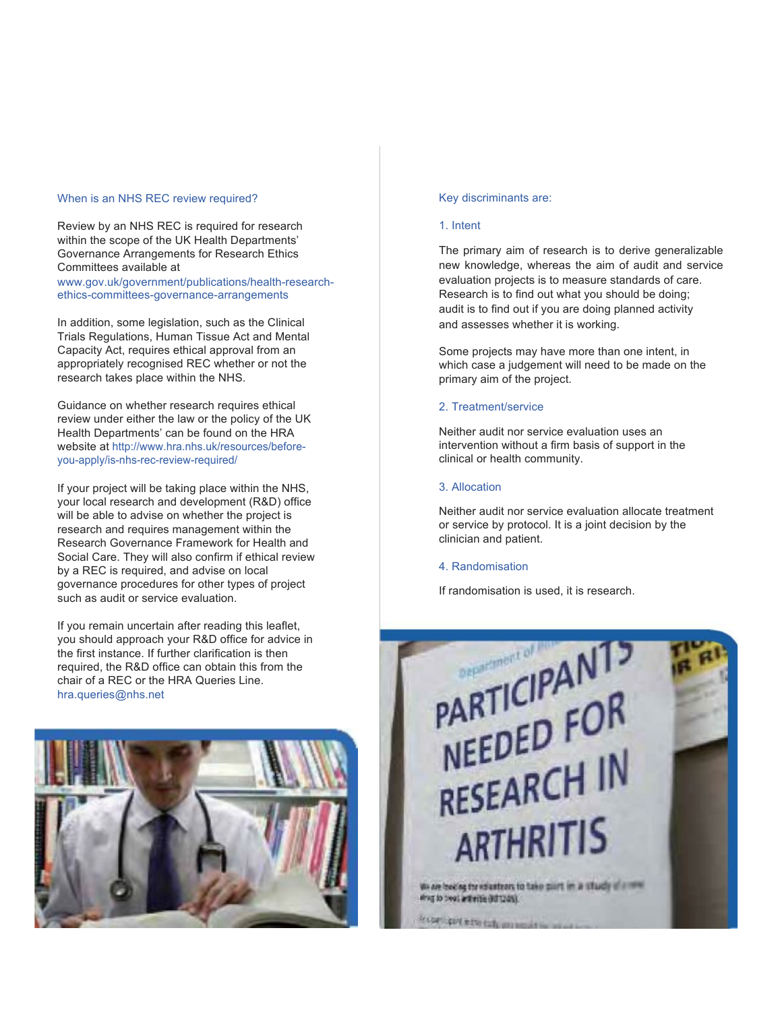# When is an NHS REC review required?

Review by an NHS REC is required for research within the scope of the UK Health Departments' Governance Arrangements for Research Ethics Committees available at

www.gov.uk/government/publications/health-researchethics-committees-governance-arrangements

In addition, some legislation, such as the Clinical Trials Regulations, Human Tissue Act and Mental Capacity Act, requires ethical approval from an appropriately recognised REC whether or not the research takes place within the NHS.

Guidance on whether research requires ethical review under either the law or the policy of the UK Health Departments' can be found on the HRA website at http://www.hra.nhs.uk/resources/beforeyou-apply/is-nhs-rec-review-required/

If your project will be taking place within the NHS, your local research and development (R&D) office will be able to advise on whether the project is research and requires management within the Research Governance Framework for Health and Social Care. They will also confirm if ethical review by a REC is required, and advise on local governance procedures for other types of project such as audit or service evaluation.

If you remain uncertain after reading this leaflet, you should approach your R&D office for advice in the first instance. If further clarification is then required, the R&D office can obtain this from the chair of a REC or the HRA Queries Line. hra.queries@nhs.net



# Key discriminants are:

# 1. Intent

The primary aim of research is to derive generalizable new knowledge, whereas the aim of audit and service evaluation projects is to measure standards of care. Research is to find out what you should be doing; audit is to find out if you are doing planned activity and assesses whether it is working.

Some projects may have more than one intent, in which case a judgement will need to be made on the primary aim of the project.

# 2. Treatment/service

Neither audit nor service evaluation uses an intervention without a firm basis of support in the clinical or health community.

#### 3. Allocation

Neither audit nor service evaluation allocate treatment or service by protocol. It is a joint decision by the clinician and patient.

# 4. Randomisation

If randomisation is used, it is research.

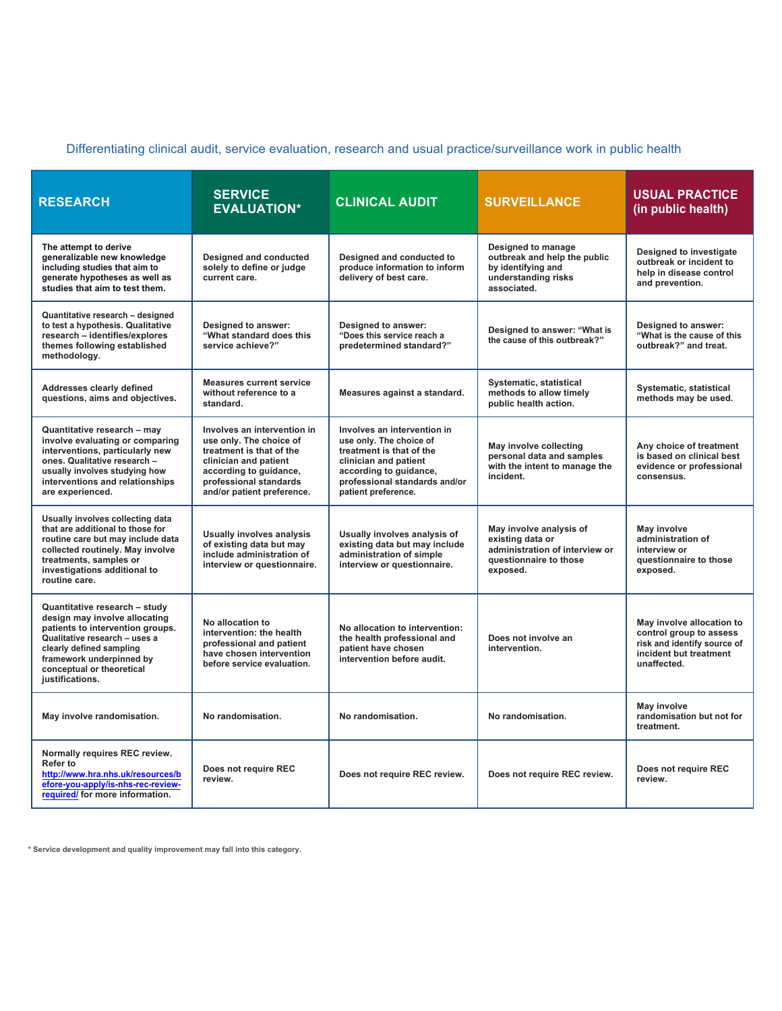# Differentiating clinical audit, service evaluation, research and usual practice/surveillance work in public health

| <b>RESEARCH</b>                                                                                                                                                                                                                             | <b>SERVICE</b><br><b>EVALUATION*</b>                                                                                                                                                          | <b>CLINICAL AUDIT</b>                                                                                                                                                                         | <b>SURVEILLANCE</b>                                                                                                 | <b>USUAL PRACTICE</b><br>(in public health)                                                                                  |
|---------------------------------------------------------------------------------------------------------------------------------------------------------------------------------------------------------------------------------------------|-----------------------------------------------------------------------------------------------------------------------------------------------------------------------------------------------|-----------------------------------------------------------------------------------------------------------------------------------------------------------------------------------------------|---------------------------------------------------------------------------------------------------------------------|------------------------------------------------------------------------------------------------------------------------------|
| The attempt to derive<br>generalizable new knowledge<br>including studies that aim to<br>generate hypotheses as well as<br>studies that aim to test them.                                                                                   | <b>Designed and conducted</b><br>solely to define or judge<br>current care.                                                                                                                   | Designed and conducted to<br>produce information to inform<br>delivery of best care.                                                                                                          | Designed to manage<br>outbreak and help the public<br>by identifying and<br>understanding risks<br>associated.      | Designed to investigate<br>outbreak or incident to<br>help in disease control<br>and prevention.                             |
| Quantitative research - designed<br>to test a hypothesis. Qualitative<br>research - identifies/explores<br>themes following established<br>methodology.                                                                                     | Designed to answer:<br>"What standard does this<br>service achieve?"                                                                                                                          | Designed to answer:<br>"Does this service reach a<br>predetermined standard?"                                                                                                                 | Designed to answer: "What is<br>the cause of this outbreak?"                                                        | Designed to answer:<br>"What is the cause of this<br>outbreak?" and treat.                                                   |
| <b>Addresses clearly defined</b><br>questions, aims and objectives.                                                                                                                                                                         | <b>Measures current service</b><br>without reference to a<br>standard.                                                                                                                        | Measures against a standard.                                                                                                                                                                  | Systematic, statistical<br>methods to allow timely<br>public health action.                                         | Systematic, statistical<br>methods may be used.                                                                              |
| Quantitative research - may<br>involve evaluating or comparing<br>interventions, particularly new<br>ones. Qualitative research -<br>usually involves studying how<br>interventions and relationships<br>are experienced.                   | Involves an intervention in<br>use only. The choice of<br>treatment is that of the<br>clinician and patient<br>according to guidance,<br>professional standards<br>and/or patient preference. | Involves an intervention in<br>use only. The choice of<br>treatment is that of the<br>clinician and patient<br>according to guidance,<br>professional standards and/or<br>patient preference. | May involve collecting<br>personal data and samples<br>with the intent to manage the<br>incident.                   | Any choice of treatment<br>is based on clinical best<br>evidence or professional<br>consensus.                               |
| Usually involves collecting data<br>that are additional to those for<br>routine care but may include data<br>collected routinely. May involve<br>treatments, samples or<br>investigations additional to<br>routine care.                    | <b>Usually involves analysis</b><br>of existing data but may<br>include administration of<br>interview or questionnaire.                                                                      | Usually involves analysis of<br>existing data but may include<br>administration of simple<br>interview or questionnaire.                                                                      | May involve analysis of<br>existing data or<br>administration of interview or<br>questionnaire to those<br>exposed. | May involve<br>administration of<br>interview or<br>questionnaire to those<br>exposed.                                       |
| Quantitative research - study<br>design may involve allocating<br>patients to intervention groups.<br>Qualitative research - uses a<br>clearly defined sampling<br>framework underpinned by<br>conceptual or theoretical<br>justifications. | No allocation to<br>intervention: the health<br>professional and patient<br>have chosen intervention<br>before service evaluation.                                                            | No allocation to intervention:<br>the health professional and<br>patient have chosen<br>intervention before audit.                                                                            | Does not involve an<br>intervention.                                                                                | May involve allocation to<br>control group to assess<br>risk and identify source of<br>incident but treatment<br>unaffected. |
| May involve randomisation.                                                                                                                                                                                                                  | No randomisation.                                                                                                                                                                             | No randomisation.                                                                                                                                                                             | No randomisation.                                                                                                   | May involve<br>randomisation but not for<br>treatment.                                                                       |
| Normally requires REC review.<br>Refer to<br>http://www.hra.nhs.uk/resources/b<br>efore-you-apply/is-nhs-rec-review-<br>required/ for more information.                                                                                     | Does not require REC<br>review.                                                                                                                                                               | Does not require REC review.                                                                                                                                                                  | Does not require REC review.                                                                                        | Does not require REC<br>review.                                                                                              |

**\* Service development and quality improvement may fall into this category.**